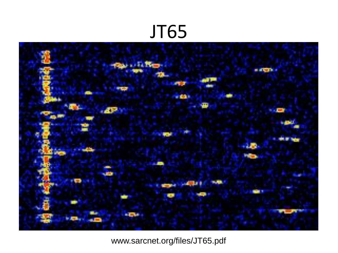### JT65



www.sarcnet.org/files/JT65.pdf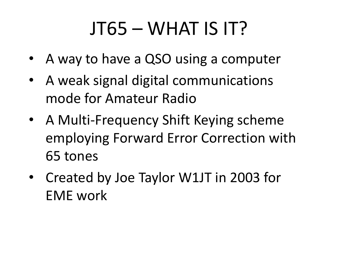## $JT65 - WHAT$  IS IT?

- A way to have a QSO using a computer
- A weak signal digital communications mode for Amateur Radio
- A Multi-Frequency Shift Keying scheme employing Forward Error Correction with 65 tones
- Created by Joe Taylor W1JT in 2003 for EME work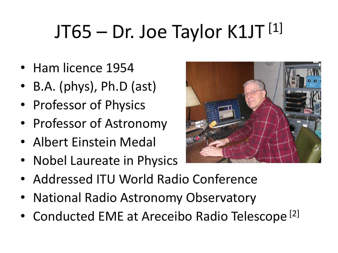# JT65 – Dr. Joe Taylor K1JT [1]

- Ham licence 1954
- B.A. (phys), Ph.D (ast)
- Professor of Physics
- Professor of Astronomy
- Albert Einstein Medal
- Nobel Laureate in Physics
- Addressed ITU World Radio Conference
- National Radio Astronomy Observatory
- Conducted EME at Areceibo Radio Telescope<sup>[2]</sup>

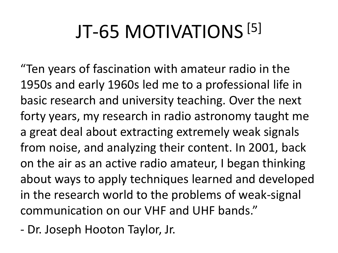# JT-65 MOTIVATIONS [5]

"Ten years of fascination with amateur radio in the 1950s and early 1960s led me to a professional life in basic research and university teaching. Over the next forty years, my research in radio astronomy taught me a great deal about extracting extremely weak signals from noise, and analyzing their content. In 2001, back on the air as an active radio amateur, I began thinking about ways to apply techniques learned and developed in the research world to the problems of weak-signal communication on our VHF and UHF bands."

- Dr. Joseph Hooton Taylor, Jr.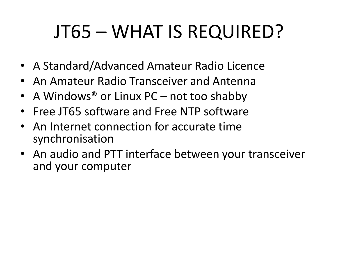# JT65 – WHAT IS REQUIRED?

- A Standard/Advanced Amateur Radio Licence
- An Amateur Radio Transceiver and Antenna
- A Windows<sup>®</sup> or Linux PC not too shabby
- Free JT65 software and Free NTP software
- An Internet connection for accurate time synchronisation
- An audio and PTT interface between your transceiver and your computer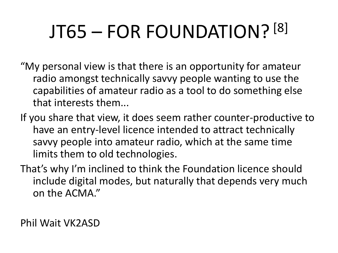# JT65 – FOR FOUNDATION? [8]

- "My personal view is that there is an opportunity for amateur radio amongst technically savvy people wanting to use the capabilities of amateur radio as a tool to do something else that interests them...
- If you share that view, it does seem rather counter-productive to have an entry-level licence intended to attract technically savvy people into amateur radio, which at the same time limits them to old technologies.
- That's why I'm inclined to think the Foundation licence should include digital modes, but naturally that depends very much on the ACMA."

Phil Wait VK2ASD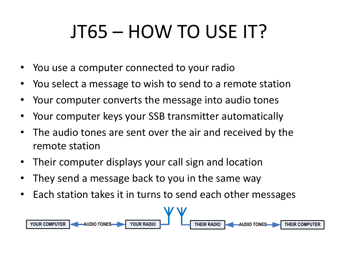# JT65 – HOW TO USE IT?

- You use a computer connected to your radio
- You select a message to wish to send to a remote station
- Your computer converts the message into audio tones
- Your computer keys your SSB transmitter automatically
- The audio tones are sent over the air and received by the remote station
- Their computer displays your call sign and location
- They send a message back to you in the same way
- Each station takes it in turns to send each other messages

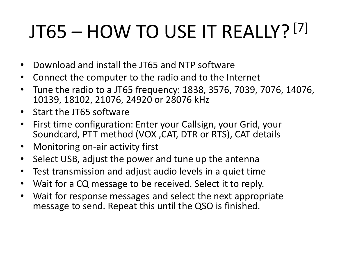# JT65 – HOW TO USE IT REALLY? [7]

- Download and install the JT65 and NTP software
- Connect the computer to the radio and to the Internet
- Tune the radio to a JT65 frequency: 1838, 3576, 7039, 7076, 14076, 10139, 18102, 21076, 24920 or 28076 kHz
- Start the JT65 software
- First time configuration: Enter your Callsign, your Grid, your Soundcard, PTT method (VOX ,CAT, DTR or RTS), CAT details
- Monitoring on-air activity first
- Select USB, adjust the power and tune up the antenna
- Test transmission and adjust audio levels in a quiet time
- Wait for a CQ message to be received. Select it to reply.
- Wait for response messages and select the next appropriate message to send. Repeat this until the QSO is finished.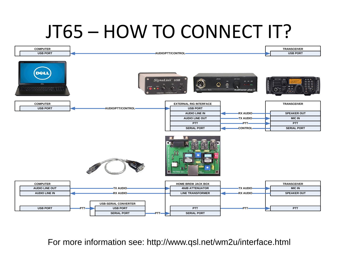## JT65 – HOW TO CONNECT IT?



For more information see: http://www.qsl.net/wm2u/interface.html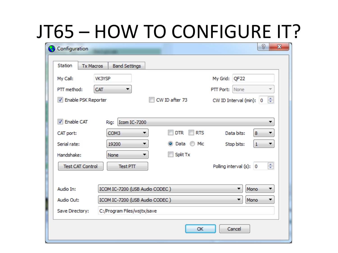## JT65 – HOW TO CONFIGURE IT?

| ₹ | Configuration                                                  |                                          |   |          |                   |                          |                              | P<br>$\mathbf{x}$ |  |
|---|----------------------------------------------------------------|------------------------------------------|---|----------|-------------------|--------------------------|------------------------------|-------------------|--|
|   | Station                                                        | <b>Tx Macros</b><br><b>Band Settings</b> |   |          |                   |                          |                              |                   |  |
|   | My Call:<br><b>VK3YSP</b>                                      |                                          |   |          |                   | My Grid: QF22            |                              |                   |  |
|   | PTT method:<br>CAT<br>▼                                        |                                          |   |          | PTT Port:<br>None | ▼                        |                              |                   |  |
|   | V Enable PSK Reporter                                          |                                          |   |          |                   | CW ID after 73           | ÷<br>CW ID Interval (min): 0 |                   |  |
|   | <b>V</b> Enable CAT<br>Icom IC-7200<br>Rig:                    |                                          |   |          |                   |                          |                              | ▼                 |  |
|   | CAT port:                                                      | Serial rate:                             |   | COM3     | ▼                 | <b>RTS</b><br><b>DTR</b> | Data bits:                   | 8                 |  |
|   |                                                                |                                          |   | 19200    | ▼                 | Mic<br>Data              | Stop bits:                   | 1<br>▼            |  |
|   | Handshake:<br>None                                             |                                          | ▼ | Split Tx |                   |                          |                              |                   |  |
|   | <b>Test CAT Control</b><br>Test PTT                            |                                          |   |          |                   |                          | Polling interval $(s)$ : 0   | ÷                 |  |
|   | Audio In:<br>ICOM IC-7200 (USB Audio CODEC)<br>Mono<br>▼<br>▼  |                                          |   |          |                   |                          |                              |                   |  |
|   | ICOM IC-7200 (USB Audio CODEC)<br>Audio Out:<br>Mono<br>▼<br>▼ |                                          |   |          |                   |                          |                              |                   |  |
|   | C:/Program Files/wsjtx/save<br>Save Directory:                 |                                          |   |          |                   |                          |                              |                   |  |
|   | OK<br>Cancel                                                   |                                          |   |          |                   |                          |                              |                   |  |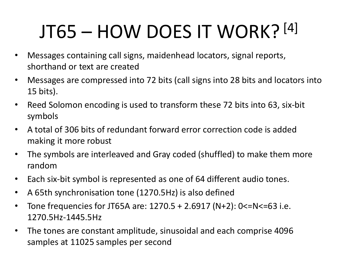# JT65 – HOW DOES IT WORK? [4]

- Messages containing call signs, maidenhead locators, signal reports, shorthand or text are created
- Messages are compressed into 72 bits (call signs into 28 bits and locators into 15 bits).
- Reed Solomon encoding is used to transform these 72 bits into 63, six-bit symbols
- A total of 306 bits of redundant forward error correction code is added making it more robust
- The symbols are interleaved and Gray coded (shuffled) to make them more random
- Each six-bit symbol is represented as one of 64 different audio tones.
- A 65th synchronisation tone (1270.5Hz) is also defined
- Tone frequencies for JT65A are:  $1270.5 + 2.6917$  (N+2):  $0 \le N \le 63$  i.e. 1270.5Hz-1445.5Hz
- The tones are constant amplitude, sinusoidal and each comprise 4096 samples at 11025 samples per second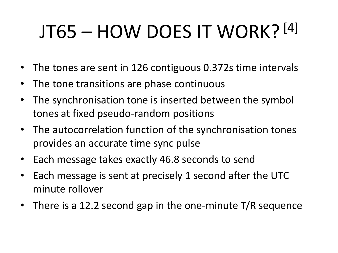# JT65 – HOW DOES IT WORK? [4]

- The tones are sent in 126 contiguous 0.372s time intervals
- The tone transitions are phase continuous
- The synchronisation tone is inserted between the symbol tones at fixed pseudo-random positions
- The autocorrelation function of the synchronisation tones provides an accurate time sync pulse
- Each message takes exactly 46.8 seconds to send
- Each message is sent at precisely 1 second after the UTC minute rollover
- There is a 12.2 second gap in the one-minute T/R sequence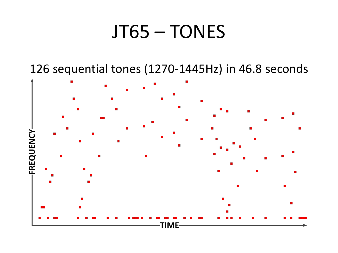### JT65 – TONES

126 sequential tones (1270-1445Hz) in 46.8 seconds

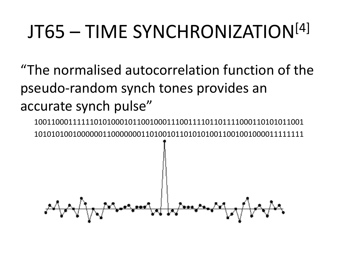# JT65 – TIME SYNCHRONIZATION[4]

"The normalised autocorrelation function of the pseudo-random synch tones provides an accurate synch pulse"

100110001111110101000101100100011100111101101111000110101011001 101010100100000011000000011010010110101010011001001000011111111

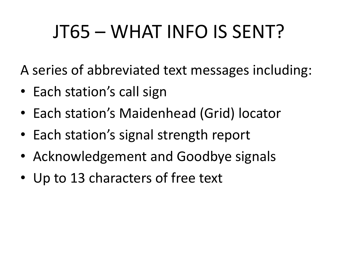# JT65 – WHAT INFO IS SENT?

A series of abbreviated text messages including:

- Each station's call sign
- Each station's Maidenhead (Grid) locator
- Each station's signal strength report
- Acknowledgement and Goodbye signals
- Up to 13 characters of free text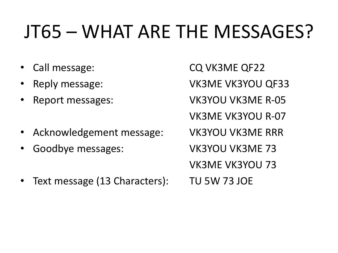## JT65 – WHAT ARE THE MESSAGES?

- 
- 
- 
- Acknowledgement message: VK3YOU VK3ME RRR
- Goodbye messages: VK3YOU VK3ME 73
- Text message (13 Characters): TU 5W 73 JOE

• Call message: CQ VK3ME QF22 • Reply message: VK3ME VK3YOU QF33 • Report messages: VK3YOU VK3ME R-05 VK3ME VK3YOU R-07 VK3ME VK3YOU 73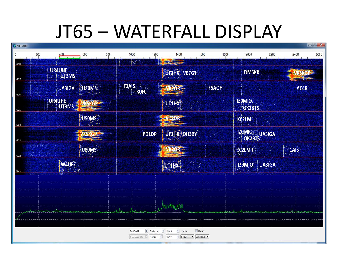## JT65 – WATERFALL DISPLAY

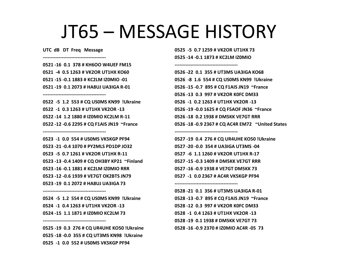#### JT65 – MESSAGE HISTORY

**UTC dB DT Freq Message ----------------------------------------**

**----------------------------------------**

**----------------------------------------**

**0521 -16 0.1 378 # KH6OO W4UEF FM15 0521 -4 0.5 1263 # VK2OR UT1HX KO60 0521 -15 -0.1 1883 # KC2LM IZ0MIO -01 0521 -19 0.1 2073 # HA8UJ UA3IGA R-01** 

**0522 -5 1.2 553 # CQ US0MS KN99 !Ukraine 0522 -1 0.3 1263 # UT1HX VK2OR -13 0522 -14 1.2 1880 # IZ0MIO KC2LM R-11 0522 -12 -0.6 2295 # CQ F1AIS JN19 ~France**

**0523 -1 0.0 554 # US0MS VK5KGP PF94 0523 -21 -0.4 1070 # PY2MLS PD1DP JO32 0523 -5 0.7 1261 # VK2OR UT1HX R-11 0523 -13 -0.4 1409 # CQ OH3BY KP21 ~Finland 0523 -16 -0.1 1881 # KC2LM IZ0MIO RRR 0523 -12 -0.6 1939 # VE7GT OK2BTS JN79 0523 -19 0.1 2072 # HA8UJ UA3IGA 73** 

**0524 -5 1.2 554 # CQ US0MS KN99 !Ukraine 0524 -1 0.4 1263 # UT1HX VK2OR -13 0524 -15 1.1 1871 # IZ0MIO KC2LM 73** 

**----------------------------------------**

**----------------------------------------**

**0525 -19 0.3 276 # CQ UR4UHE KO50 !Ukraine 0525 -18 -0.0 355 # CQ UT3MS KN98 !Ukraine 0525 -1 0.0 552 # US0MS VK5KGP PF94** 

**0525 -5 0.7 1259 # VK2OR UT1HX 73 0525 -14 -0.1 1873 # KC2LM IZ0MIO** 

**----------------------------------------**

**----------------------------------------**

**----------------------------------------**

**0526 -22 0.1 355 # UT3MS UA3IGA KO68 0526 -8 1.6 554 # CQ US0MS KN99 !Ukraine 0526 -15 -0.7 895 # CQ F1AIS JN19 ~France 0526 -13 0.3 997 # VK2OR K0FC DM33 0526 -1 0.2 1263 # UT1HX VK2OR -13 0526 -19 -0.0 1625 # CQ F5AOF JN36 ~France 0526 -18 0.2 1938 # DM5KK VE7GT RRR 0526 -18 -0.9 2367 # CQ AC4R EM72 ~United States**

**0527 -19 0.4 276 # CQ UR4UHE KO50 !Ukraine 0527 -20 -0.0 354 # UA3IGA UT3MS -04 0527 -6 1.1 1260 # VK2OR UT1HX R-17 0527 -15 -0.3 1409 # DM5KK VE7GT RRR 0527 -16 -0.9 1938 # VE7GT DM5KK 73 0527 -1 0.0 2367 # AC4R VK5KGP PF94** 

**0528 -21 0.1 356 # UT3MS UA3IGA R-01 0528 -13 -0.7 895 # CQ F1AIS JN19 ~France 0528 -12 0.3 997 # VK2OR K0FC DM33 0528 -1 0.4 1263 # UT1HX VK2OR -13 0528 -19 0.1 1938 # DM5KK VE7GT 73 0528 -16 -0.9 2370 # IZ0MIO AC4R -05 73**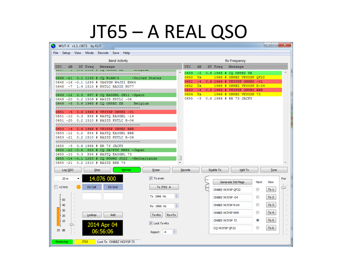#### JT65 – A REAL QSO

| WSJT-X v1.3, r3673 by K1JT                                                                                                                                                       |      |  |  |  |  |  |  |  |
|----------------------------------------------------------------------------------------------------------------------------------------------------------------------------------|------|--|--|--|--|--|--|--|
| Setup View Mode Decode Save Help<br>File:                                                                                                                                        |      |  |  |  |  |  |  |  |
| <b>Band Activity</b><br><b>Rx Frequency</b>                                                                                                                                      |      |  |  |  |  |  |  |  |
| UTC.<br>UTC dB DT Freq Message<br>dB<br>DT Freq<br>Message                                                                                                                       |      |  |  |  |  |  |  |  |
| AN OUNCE THE ACCEPT ON<br>$\sqrt{2}$<br>0.6 1968 # CQ ON8BZ DX<br>0649<br>$-5$                                                                                                   |      |  |  |  |  |  |  |  |
| 0650<br>Tx<br>1968 # ON8BZ VK3YSP QF22<br>0648 -21 0.1 1133 # CQ W1AW/3<br>~United States<br>$0651 - 4$<br>0.6 1966 # VK3YSP ON8BZ -01<br>0648 -16 -0.1 1289 # UA6YGN W4JSI EM64 |      |  |  |  |  |  |  |  |
| 0652<br>Tx.<br>1966 # ON8BZ VK3YSP R-04<br>0648 -7 1.4 1510 # K8TLC RA3ID K077                                                                                                   |      |  |  |  |  |  |  |  |
| 0.6 1966 # VK3YSP ON8BZ RRR<br>0653<br>$-4$<br>0654<br>Tx<br>1966 # ON8BZ VK3YSP 73                                                                                              |      |  |  |  |  |  |  |  |
| 0649 -12 0.3 857 # CQ EA3GBL JN11 ~Spain<br>0655 -3 0.6 1966 # RR 73 JACKY<br>0649 -20 0.2 1509 # RA3ID K8TLC -06                                                                |      |  |  |  |  |  |  |  |
| 0649 -5 0.6 1968 # CQ ON8BZ DX<br>Belgium                                                                                                                                        |      |  |  |  |  |  |  |  |
| 0651 -4 0.6 1966 # VK3YSP ON8BZ -01                                                                                                                                              |      |  |  |  |  |  |  |  |
| 0651 -10 0.3 854 # RA3TQ EA3GBL -14<br>0651 -20 0.2 1510 # RA3ID K8TLC R-06                                                                                                      |      |  |  |  |  |  |  |  |
|                                                                                                                                                                                  |      |  |  |  |  |  |  |  |
| 0653 -4 0.6 1966 # VK3YSP ON8BZ RRR                                                                                                                                              |      |  |  |  |  |  |  |  |
| 0653 -12 0.2 854 # RA3TQ EA3GBL RRR<br>0653 -21 0.2 1510 # RA3ID K8TLC R-06                                                                                                      |      |  |  |  |  |  |  |  |
|                                                                                                                                                                                  |      |  |  |  |  |  |  |  |
| 0655 -3 0.6 1966 # RR 73 JACKY<br>0655 -22 -0.8 553 # CQ JA7FYU PM95 ~Japan                                                                                                      |      |  |  |  |  |  |  |  |
| 0655 -10 0.3 854 # RA3TQ EA3GBL 73                                                                                                                                               |      |  |  |  |  |  |  |  |
| 0655 -14 -0.1 1283 # CQ PH9WS JO22 ~Netherlands<br>0.2 1510 # RA3ID RRR 73<br>$0655 - 21$                                                                                        |      |  |  |  |  |  |  |  |
| Halt Tx<br><b>Decode</b><br>Enable Tx<br>Log QSO<br>Monitor<br>Erase<br>Stop                                                                                                     | Tune |  |  |  |  |  |  |  |
| 14.076 000<br>$\triangledown$ Tx even<br>20 <sub>m</sub>                                                                                                                         | Pwr  |  |  |  |  |  |  |  |
| Generate Std Msgs<br>Next<br><b>Now</b>                                                                                                                                          |      |  |  |  |  |  |  |  |
| $\Box$ +2 kHz<br>DX Call<br>DX Grid<br>Tx JT65 #<br>$\mathbf{\tilde{N}}$<br>⊙<br>ON8BZ VK3YSP QF22<br>Tx <sub>1</sub>                                                            |      |  |  |  |  |  |  |  |
| ÷<br>Tx 1966 Hz<br>⊙<br>ON8BZ VK3YSP -04<br>50                                                                                                                                   | Tx 2 |  |  |  |  |  |  |  |
| ⊙<br>Tx <sub>3</sub><br>40<br>ON8BZ VK3YSP R-04<br>÷<br>Rx 1966 Hz                                                                                                               |      |  |  |  |  |  |  |  |
| 30<br>⊙<br>Tx 4<br>ON8BZ VK3YSP RRR<br>Add<br>$Rx = Tx$<br>Lookup<br>$Tx = Rx$                                                                                                   |      |  |  |  |  |  |  |  |
| 20<br>$\bullet$<br>Tx <sub>5</sub><br>ON8BZ VK3YSP 73<br>10                                                                                                                      |      |  |  |  |  |  |  |  |
| $\triangledown$ Lock Tx=Rx<br>2014 Apr 04<br>⊙<br>Tx 6<br>CQ VK3YSP QF22                                                                                                         |      |  |  |  |  |  |  |  |
| 35 dB<br>06:56:06<br>÷<br>Report -4                                                                                                                                              |      |  |  |  |  |  |  |  |
| <b>JT65</b><br>Last Tx: ON8BZ VK3YSP 73<br>Receiving                                                                                                                             |      |  |  |  |  |  |  |  |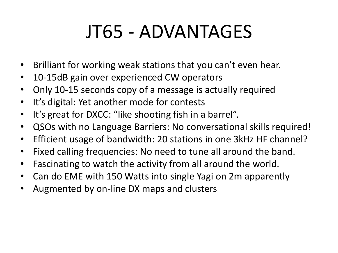# JT65 - ADVANTAGES

- Brilliant for working weak stations that you can't even hear.
- 10-15dB gain over experienced CW operators
- Only 10-15 seconds copy of a message is actually required
- It's digital: Yet another mode for contests
- It's great for DXCC: "like shooting fish in a barrel".
- QSOs with no Language Barriers: No conversational skills required!
- Efficient usage of bandwidth: 20 stations in one 3kHz HF channel?
- Fixed calling frequencies: No need to tune all around the band.
- Fascinating to watch the activity from all around the world.
- Can do EME with 150 Watts into single Yagi on 2m apparently
- Augmented by on-line DX maps and clusters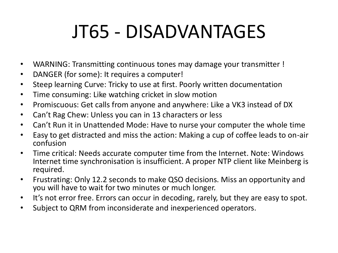# JT65 - DISADVANTAGES

- WARNING: Transmitting continuous tones may damage your transmitter !
- DANGER (for some): It requires a computer!
- Steep learning Curve: Tricky to use at first. Poorly written documentation
- Time consuming: Like watching cricket in slow motion
- Promiscuous: Get calls from anyone and anywhere: Like a VK3 instead of DX
- Can't Rag Chew: Unless you can in 13 characters or less
- Can't Run it in Unattended Mode: Have to nurse your computer the whole time
- Easy to get distracted and miss the action: Making a cup of coffee leads to on-air confusion
- Time critical: Needs accurate computer time from the Internet. Note: Windows Internet time synchronisation is insufficient. A proper NTP client like Meinberg is required.
- Frustrating: Only 12.2 seconds to make QSO decisions. Miss an opportunity and you will have to wait for two minutes or much longer.
- It's not error free. Errors can occur in decoding, rarely, but they are easy to spot.
- Subject to QRM from inconsiderate and inexperienced operators.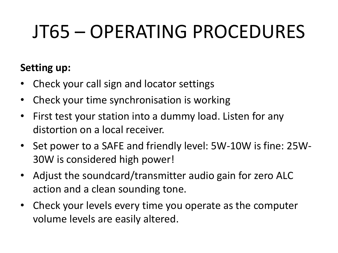# JT65 – OPERATING PROCEDURES

#### **Setting up:**

- Check your call sign and locator settings
- Check your time synchronisation is working
- First test your station into a dummy load. Listen for any distortion on a local receiver.
- Set power to a SAFE and friendly level: 5W-10W is fine: 25W-30W is considered high power!
- Adjust the soundcard/transmitter audio gain for zero ALC action and a clean sounding tone.
- Check your levels every time you operate as the computer volume levels are easily altered.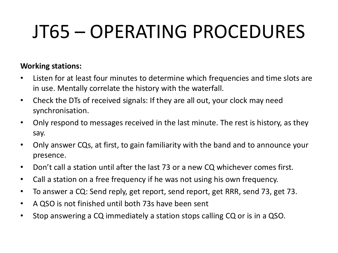# JT65 – OPERATING PROCEDURES

#### **Working stations:**

- Listen for at least four minutes to determine which frequencies and time slots are in use. Mentally correlate the history with the waterfall.
- Check the DTs of received signals: If they are all out, your clock may need synchronisation.
- Only respond to messages received in the last minute. The rest is history, as they say.
- Only answer CQs, at first, to gain familiarity with the band and to announce your presence.
- Don't call a station until after the last 73 or a new CQ whichever comes first.
- Call a station on a free frequency if he was not using his own frequency.
- To answer a CQ: Send reply, get report, send report, get RRR, send 73, get 73.
- A QSO is not finished until both 73s have been sent
- Stop answering a CQ immediately a station stops calling CQ or is in a QSO.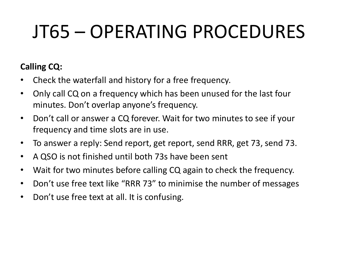# JT65 – OPERATING PROCEDURES

#### **Calling CQ:**

- Check the waterfall and history for a free frequency.
- Only call CQ on a frequency which has been unused for the last four minutes. Don't overlap anyone's frequency.
- Don't call or answer a CQ forever. Wait for two minutes to see if your frequency and time slots are in use.
- To answer a reply: Send report, get report, send RRR, get 73, send 73.
- A QSO is not finished until both 73s have been sent
- Wait for two minutes before calling CQ again to check the frequency.
- Don't use free text like "RRR 73" to minimise the number of messages
- Don't use free text at all. It is confusing.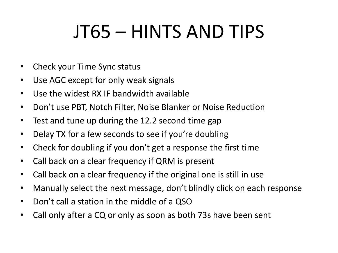# JT65 – HINTS AND TIPS

- Check your Time Sync status
- Use AGC except for only weak signals
- Use the widest RX IF bandwidth available
- Don't use PBT, Notch Filter, Noise Blanker or Noise Reduction
- Test and tune up during the 12.2 second time gap
- Delay TX for a few seconds to see if you're doubling
- Check for doubling if you don't get a response the first time
- Call back on a clear frequency if QRM is present
- Call back on a clear frequency if the original one is still in use
- Manually select the next message, don't blindly click on each response
- Don't call a station in the middle of a QSO
- Call only after a CQ or only as soon as both 73s have been sent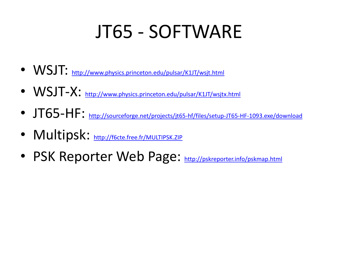## JT65 - SOFTWARE

- WSJT: <http://www.physics.princeton.edu/pulsar/K1JT/wsjt.html>
- WSJT-X: <http://www.physics.princeton.edu/pulsar/K1JT/wsjtx.html>
- JT65-HF: <http://sourceforge.net/projects/jt65-hf/files/setup-JT65-HF-1093.exe/download>
- Multipsk: <http://f6cte.free.fr/MULTIPSK.ZIP>
- PSK Reporter Web Page: <http://pskreporter.info/pskmap.html>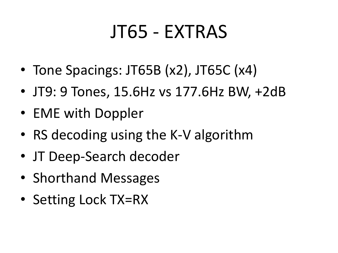## JT65 - EXTRAS

- Tone Spacings: JT65B (x2), JT65C (x4)
- JT9: 9 Tones, 15.6Hz vs 177.6Hz BW, +2dB
- EME with Doppler
- RS decoding using the K-V algorithm
- JT Deep-Search decoder
- Shorthand Messages
- Setting Lock TX=RX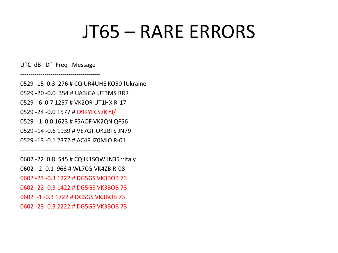### JT65 – RARE ERRORS

UTC dB DT Freq Message

----------------------------------------

----------------------------------------

0529 -15 0.3 276 # CQ UR4UHE KO50 !Ukraine 0529 -20 -0.0 354 # UA3IGA UT3MS RRR 0529 -6 0.7 1257 # VK2OR UT1HX R-17 0529 -24 -0.0 1577 # O9KYFCS7K.YJ/ 0529 -1 0.0 1623 # F5AOF VK2QN QF56 0529 -14 -0.6 1939 # VE7GT OK2BTS JN79 0529 -13 -0.1 2372 # AC4R IZ0MIO R-01

0602 -22 0.8 545 # CQ IK1SOW JN35 ~Italy 0602 -2 -0.1 966 # WL7CG VK4ZB R-08 0602 -23 -0.3 1222 # DG5GS VK3BOB 73 0602 -22 -0.3 1422 # DG5GS VK3BOB 73 0602 -1 -0.3 1722 # DG5GS VK3BOB 73 0602 -23 -0.3 2222 # DG5GS VK3BOB 73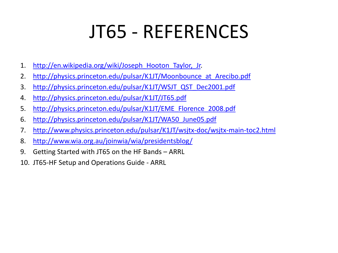## JT65 - REFERENCES

- 1. http://en.wikipedia.org/wiki/Joseph Hooton Taylor, Jr.
- 2. http://physics.princeton.edu/pulsar/K1JT/Moonbounce at Arecibo.pdf
- 3. [http://physics.princeton.edu/pulsar/K1JT/WSJT\\_QST\\_Dec2001.pdf](http://physics.princeton.edu/pulsar/K1JT/WSJT_QST_Dec2001.pdf)
- 4. <http://physics.princeton.edu/pulsar/K1JT/JT65.pdf>
- 5. [http://physics.princeton.edu/pulsar/K1JT/EME\\_Florence\\_2008.pdf](http://physics.princeton.edu/pulsar/K1JT/EME_Florence_2008.pdf)
- 6. [http://physics.princeton.edu/pulsar/K1JT/WA50\\_June05.pdf](http://physics.princeton.edu/pulsar/K1JT/WA50_June05.pdf)
- 7. <http://www.physics.princeton.edu/pulsar/K1JT/wsjtx-doc/wsjtx-main-toc2.html>
- 8. <http://www.wia.org.au/joinwia/wia/presidentsblog/>
- 9. Getting Started with JT65 on the HF Bands ARRL
- 10. JT65-HF Setup and Operations Guide ARRL